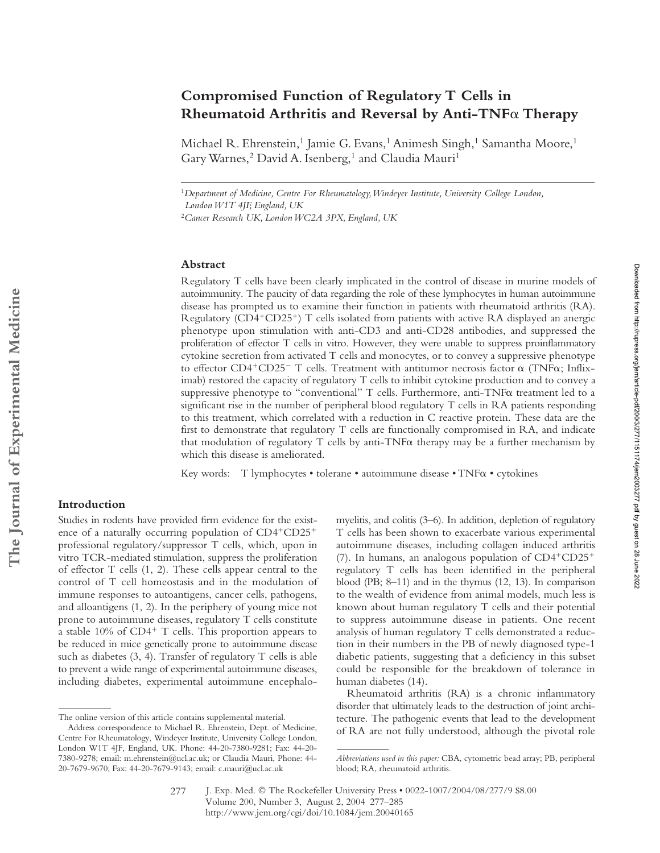# **Compromised Function of Regulatory T Cells in Rheumatoid Arthritis and Reversal by Anti-TNF Therapy**

Michael R. Ehrenstein,<sup>1</sup> Jamie G. Evans,<sup>1</sup> Animesh Singh,<sup>1</sup> Samantha Moore,<sup>1</sup> Gary Warnes,<sup>2</sup> David A. Isenberg,<sup>1</sup> and Claudia Mauri<sup>1</sup>

<sup>1</sup>*Department of Medicine, Centre For Rheumatology, Windeyer Institute, University College London, London W1T 4JF, England, UK*

<sup>2</sup>*Cancer Research UK, London WC2A 3PX, England, UK*

## **Abstract**

Regulatory T cells have been clearly implicated in the control of disease in murine models of autoimmunity. The paucity of data regarding the role of these lymphocytes in human autoimmune disease has prompted us to examine their function in patients with rheumatoid arthritis (RA). Regulatory (CD4+CD25+) T cells isolated from patients with active RA displayed an anergic phenotype upon stimulation with anti-CD3 and anti-CD28 antibodies, and suppressed the proliferation of effector T cells in vitro. However, they were unable to suppress proinflammatory cytokine secretion from activated T cells and monocytes, or to convey a suppressive phenotype to effector CD4+CD25- T cells. Treatment with antitumor necrosis factor  $\alpha$  (TNF $\alpha$ ; Infliximab) restored the capacity of regulatory T cells to inhibit cytokine production and to convey a suppressive phenotype to "conventional"  $T$  cells. Furthermore, anti-TNF $\alpha$  treatment led to a significant rise in the number of peripheral blood regulatory T cells in RA patients responding to this treatment, which correlated with a reduction in C reactive protein. These data are the first to demonstrate that regulatory T cells are functionally compromised in RA, and indicate that modulation of regulatory T cells by anti-TNF $\alpha$  therapy may be a further mechanism by which this disease is ameliorated.

Key words: T lymphocytes • tolerane • autoimmune disease • TNF $\alpha$  • cytokines

### **Introduction**

Studies in rodents have provided firm evidence for the existence of a naturally occurring population of CD4+CD25+ professional regulatory/suppressor T cells, which, upon in vitro TCR-mediated stimulation, suppress the proliferation of effector T cells (1, 2). These cells appear central to the control of T cell homeostasis and in the modulation of immune responses to autoantigens, cancer cells, pathogens, and alloantigens (1, 2). In the periphery of young mice not prone to autoimmune diseases, regulatory T cells constitute a stable 10% of CD4<sup>+</sup> T cells. This proportion appears to be reduced in mice genetically prone to autoimmune disease such as diabetes (3, 4). Transfer of regulatory T cells is able to prevent a wide range of experimental autoimmune diseases, including diabetes, experimental autoimmune encephalomyelitis, and colitis (3–6). In addition, depletion of regulatory T cells has been shown to exacerbate various experimental autoimmune diseases, including collagen induced arthritis (7). In humans, an analogous population of CD4-CD25 regulatory T cells has been identified in the peripheral blood (PB; 8–11) and in the thymus (12, 13). In comparison to the wealth of evidence from animal models, much less is known about human regulatory T cells and their potential to suppress autoimmune disease in patients. One recent analysis of human regulatory T cells demonstrated a reduction in their numbers in the PB of newly diagnosed type-1 diabetic patients, suggesting that a deficiency in this subset could be responsible for the breakdown of tolerance in human diabetes (14).

Rheumatoid arthritis (RA) is a chronic inflammatory disorder that ultimately leads to the destruction of joint architecture. The pathogenic events that lead to the development of RA are not fully understood, although the pivotal role

The online version of this article contains supplemental material.

Address correspondence to Michael R. Ehrenstein, Dept. of Medicine, Centre For Rheumatology, Windeyer Institute, University College London, London W1T 4JF, England, UK. Phone: 44-20-7380-9281; Fax: 44-20- 7380-9278; email: m.ehrenstein@ucl.ac.uk; or Claudia Mauri, Phone: 44- 20-7679-9670; Fax: 44-20-7679-9143; email: c.mauri@ucl.ac.uk

*Abbreviations used in this paper:* CBA, cytometric bead array; PB, peripheral blood; RA, rheumatoid arthritis.

J. Exp. Med. © The Rockefeller University Press • 0022-1007/2004/08/277/9 \$8.00 Volume 200, Number 3, August 2, 2004 277–285 http://www.jem.org/cgi/doi/10.1084/jem.20040165 277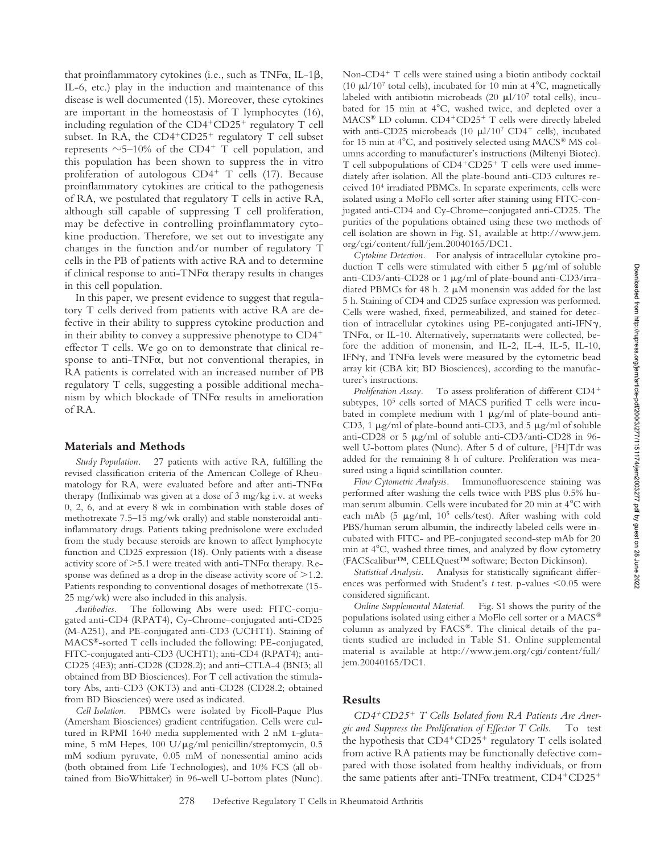that proinflammatory cytokines (i.e., such as  $TNF\alpha$ , IL-1 $\beta$ , IL-6, etc.) play in the induction and maintenance of this disease is well documented (15). Moreover, these cytokines are important in the homeostasis of T lymphocytes (16), including regulation of the CD4<sup>+</sup>CD25<sup>+</sup> regulatory T cell subset. In RA, the CD4<sup>+</sup>CD25<sup>+</sup> regulatory T cell subset represents  $\sim$  5–10% of the CD4<sup>+</sup> T cell population, and this population has been shown to suppress the in vitro proliferation of autologous CD4<sup>+</sup> T cells (17). Because proinflammatory cytokines are critical to the pathogenesis of RA, we postulated that regulatory T cells in active RA, although still capable of suppressing T cell proliferation, may be defective in controlling proinflammatory cytokine production. Therefore, we set out to investigate any changes in the function and/or number of regulatory T cells in the PB of patients with active RA and to determine if clinical response to anti- $TNF\alpha$  therapy results in changes in this cell population.

In this paper, we present evidence to suggest that regulatory T cells derived from patients with active RA are defective in their ability to suppress cytokine production and in their ability to convey a suppressive phenotype to CD4 effector T cells. We go on to demonstrate that clinical response to anti-TNF $\alpha$ , but not conventional therapies, in RA patients is correlated with an increased number of PB regulatory T cells, suggesting a possible additional mechanism by which blockade of  $TNF\alpha$  results in amelioration of RA.

#### **Materials and Methods**

*Study Population.* 27 patients with active RA, fulfilling the revised classification criteria of the American College of Rheumatology for RA, were evaluated before and after anti-TNF $\alpha$ therapy (Infliximab was given at a dose of 3 mg/kg i.v. at weeks 0, 2, 6, and at every 8 wk in combination with stable doses of methotrexate 7.5–15 mg/wk orally) and stable nonsteroidal antiinflammatory drugs. Patients taking prednisolone were excluded from the study because steroids are known to affect lymphocyte function and CD25 expression (18). Only patients with a disease activity score of  $>5.1$  were treated with anti-TNF $\alpha$  therapy. Response was defined as a drop in the disease activity score of  $>1.2$ . Patients responding to conventional dosages of methotrexate (15- 25 mg/wk) were also included in this analysis.

*Antibodies.* The following Abs were used: FITC-conjugated anti-CD4 (RPAT4), Cy-Chrome–conjugated anti-CD25 (M-A251), and PE-conjugated anti-CD3 (UCHT1). Staining of MACS®-sorted T cells included the following: PE-conjugated, FITC-conjugated anti-CD3 (UCHT1); anti-CD4 (RPAT4); anti-CD25 (4E3); anti-CD28 (CD28.2); and anti–CTLA-4 (BNI3; all obtained from BD Biosciences). For T cell activation the stimulatory Abs, anti-CD3 (OKT3) and anti-CD28 (CD28.2; obtained from BD Biosciences) were used as indicated.

*Cell Isolation.* PBMCs were isolated by Ficoll-Paque Plus (Amersham Biosciences) gradient centrifugation. Cells were cultured in RPMI 1640 media supplemented with 2 nM L-glutamine, 5 mM Hepes, 100 U/ $\mu$ g/ml penicillin/streptomycin, 0.5 mM sodium pyruvate, 0.05 mM of nonessential amino acids (both obtained from Life Technologies), and 10% FCS (all obtained from BioWhittaker) in 96-well U-bottom plates (Nunc).

Non-CD4<sup>+</sup> T cells were stained using a biotin antibody cocktail (10  $\mu$ 1/10<sup>7</sup> total cells), incubated for 10 min at 4<sup>°</sup>C, magnetically labeled with antibiotin microbeads  $(20 \mu l/10^7 \text{ total cells})$ , incubated for 15 min at  $4^{\circ}$ C, washed twice, and depleted over a MACS® LD column. CD4+CD25+ T cells were directly labeled with anti-CD25 microbeads (10  $\mu$ l/10<sup>7</sup> CD4<sup>+</sup> cells), incubated for 15 min at  $4^{\circ}$ C, and positively selected using MACS® MS columns according to manufacturer's instructions (Miltenyi Biotec). T cell subpopulations of CD4+CD25+ T cells were used immediately after isolation. All the plate-bound anti-CD3 cultures received 104 irradiated PBMCs. In separate experiments, cells were isolated using a MoFlo cell sorter after staining using FITC-conjugated anti-CD4 and Cy-Chrome–conjugated anti-CD25. The purities of the populations obtained using these two methods of cell isolation are shown in Fig. S1, available at http://www.jem. org/cgi/content/full/jem.20040165/DC1.

*Cytokine Detection.* For analysis of intracellular cytokine production T cells were stimulated with either  $5 \mu g/ml$  of soluble anti-CD3/anti-CD28 or 1  $\mu$ g/ml of plate-bound anti-CD3/irradiated PBMCs for 48 h. 2  $\mu$ M monensin was added for the last 5 h. Staining of CD4 and CD25 surface expression was performed. Cells were washed, fixed, permeabilized, and stained for detection of intracellular cytokines using PE-conjugated anti-IFN $\gamma$ , TNF $\alpha$ , or IL-10. Alternatively, supernatants were collected, before the addition of monensin, and IL-2, IL-4, IL-5, IL-10, IFN $\gamma$ , and TNF $\alpha$  levels were measured by the cytometric bead array kit (CBA kit; BD Biosciences), according to the manufacturer's instructions.

*Proliferation Assay.* To assess proliferation of different CD4 subtypes,  $10<sup>5</sup>$  cells sorted of MACS purified T cells were incubated in complete medium with 1  $\mu$ g/ml of plate-bound anti-CD3, 1  $\mu$ g/ml of plate-bound anti-CD3, and 5  $\mu$ g/ml of soluble anti-CD28 or 5  $\mu$ g/ml of soluble anti-CD3/anti-CD28 in 96well U-bottom plates (Nunc). After 5 d of culture, [3H]Tdr was added for the remaining 8 h of culture. Proliferation was measured using a liquid scintillation counter.

*Flow Cytometric Analysis.* Immunofluorescence staining was performed after washing the cells twice with PBS plus 0.5% human serum albumin. Cells were incubated for 20 min at 4°C with each mAb (5  $\mu$ g/ml, 10<sup>5</sup> cells/test). After washing with cold PBS/human serum albumin, the indirectly labeled cells were incubated with FITC- and PE-conjugated second-step mAb for 20 min at 4°C, washed three times, and analyzed by flow cytometry (FACScalibur™, CELLQuest™ software; Becton Dickinson).

*Statistical Analysis.* Analysis for statistically significant differences was performed with Student's  $t$  test. p-values  $\leq 0.05$  were considered significant.

*Online Supplemental Material.* Fig. S1 shows the purity of the populations isolated using either a MoFlo cell sorter or a MACS® column as analyzed by FACS®. The clinical details of the patients studied are included in Table S1. Online supplemental material is available at http://www.jem.org/cgi/content/full/ jem.20040165/DC1.

## **Results**

*CD4*-*CD25*- *T Cells Isolated from RA Patients Are Anergic and Suppress the Proliferation of Effector T Cells.* To test the hypothesis that CD4<sup>+</sup>CD25<sup>+</sup> regulatory T cells isolated from active RA patients may be functionally defective compared with those isolated from healthy individuals, or from the same patients after anti-TNF $\alpha$  treatment, CD4+CD25+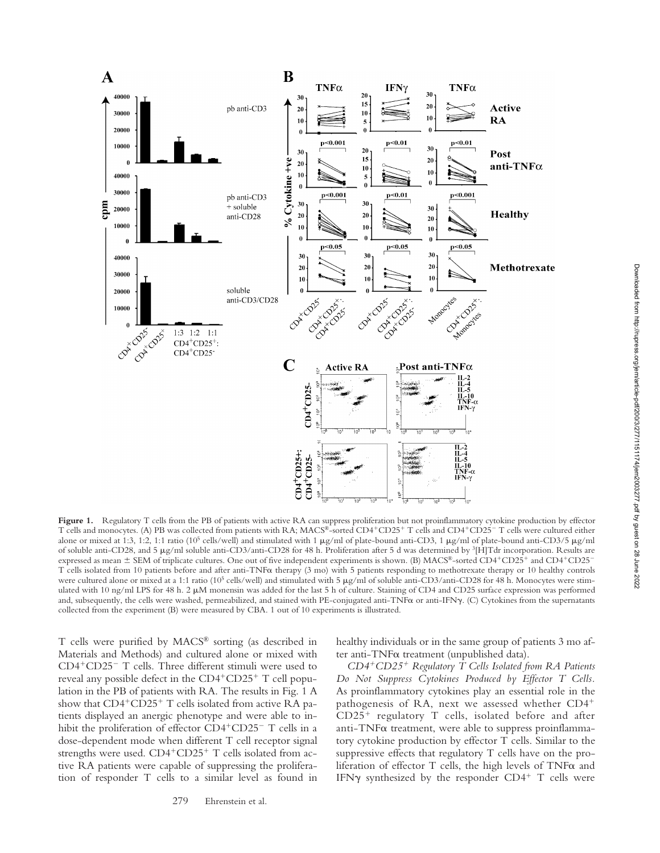

Figure 1. Regulatory T cells from the PB of patients with active RA can suppress proliferation but not proinflammatory cytokine production by effector T cells and monocytes. (A) PB was collected from patients with RA; MACS®-sorted CD4<sup>+</sup>CD25<sup>+</sup> T cells and CD4<sup>+</sup>CD25<sup>-</sup> T cells were cultured either alone or mixed at 1:3, 1:2, 1:1 ratio (10<sup>5</sup> cells/well) and stimulated with 1  $\mu$ g/ml of plate-bound anti-CD3, 1  $\mu$ g/ml of plate-bound anti-CD3/5  $\mu$ g/ml of soluble anti-CD28, and 5 g/ml soluble anti-CD3/anti-CD28 for 48 h. Proliferation after 5 d was determined by 3[H]Tdr incorporation. Results are expressed as mean  $\pm$  SEM of triplicate cultures. One out of five independent experiments is shown. (B) MACS®-sorted CD4+CD25+ and CD4+CD25-T cells isolated from 10 patients before and after anti-TNF $\alpha$  therapy (3 mo) with 5 patients responding to methotrexate therapy or 10 healthy controls were cultured alone or mixed at a 1:1 ratio (10<sup>5</sup> cells/well) and stimulated with 5  $\mu$ g/ml of soluble anti-CD3/anti-CD28 for 48 h. Monocytes were stimulated with 10 ng/ml LPS for 48 h. 2  $\mu$ M monensin was added for the last 5 h of culture. Staining of CD4 and CD25 surface expression was performed and, subsequently, the cells were washed, permeabilized, and stained with PE-conjugated anti-TNF $\alpha$  or anti-IFN $\gamma$ . (C) Cytokines from the supernatants collected from the experiment (B) were measured by CBA. 1 out of 10 experiments is illustrated.

T cells were purified by MACS® sorting (as described in Materials and Methods) and cultured alone or mixed with CD4-CD25 T cells. Three different stimuli were used to reveal any possible defect in the CD4<sup>+</sup>CD25<sup>+</sup> T cell population in the PB of patients with RA. The results in Fig. 1 A show that CD4<sup>+</sup>CD25<sup>+</sup> T cells isolated from active RA patients displayed an anergic phenotype and were able to inhibit the proliferation of effector CD4<sup>+</sup>CD25<sup>-</sup> T cells in a dose-dependent mode when different T cell receptor signal strengths were used.  $CD4+CD25+T$  cells isolated from active RA patients were capable of suppressing the proliferation of responder T cells to a similar level as found in

279 Ehrenstein et al.

healthy individuals or in the same group of patients 3 mo after anti-TNF $\alpha$  treatment (unpublished data).

*CD4*-*CD25*- *Regulatory T Cells Isolated from RA Patients Do Not Suppress Cytokines Produced by Effector T Cells.* As proinflammatory cytokines play an essential role in the pathogenesis of RA, next we assessed whether CD4- CD25- regulatory T cells, isolated before and after anti-TNF $\alpha$  treatment, were able to suppress proinflammatory cytokine production by effector T cells. Similar to the suppressive effects that regulatory T cells have on the proliferation of effector  $T$  cells, the high levels of  $TNF\alpha$  and IFN $\gamma$  synthesized by the responder CD4<sup>+</sup> T cells were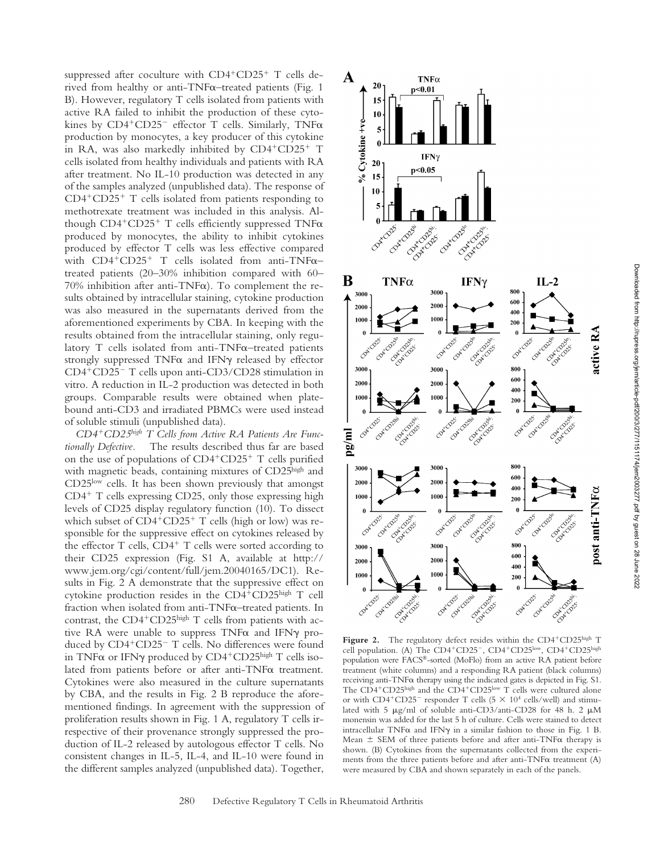suppressed after coculture with CD4<sup>+</sup>CD25<sup>+</sup> T cells derived from healthy or anti-TNF $\alpha$ –treated patients (Fig. 1 B). However, regulatory T cells isolated from patients with active RA failed to inhibit the production of these cytokines by  $CD4^+CD25^-$  effector T cells. Similarly, TNF $\alpha$ production by monocytes, a key producer of this cytokine in RA, was also markedly inhibited by CD4+CD25+ T cells isolated from healthy individuals and patients with RA after treatment. No IL-10 production was detected in any of the samples analyzed (unpublished data). The response of CD4-CD25- T cells isolated from patients responding to methotrexate treatment was included in this analysis. Although CD4+CD25+ T cells efficiently suppressed TNFa produced by monocytes, the ability to inhibit cytokines produced by effector T cells was less effective compared with  $CD4+CD25+$  T cells isolated from anti-TNF $\alpha$ treated patients (20–30% inhibition compared with 60– 70% inhibition after anti-TNF $\alpha$ ). To complement the results obtained by intracellular staining, cytokine production was also measured in the supernatants derived from the aforementioned experiments by CBA. In keeping with the results obtained from the intracellular staining, only regulatory  $T$  cells isolated from anti-TNF $\alpha$ –treated patients strongly suppressed  $TNF\alpha$  and IFN $\gamma$  released by effector CD4-CD25 T cells upon anti-CD3/CD28 stimulation in vitro. A reduction in IL-2 production was detected in both groups. Comparable results were obtained when platebound anti-CD3 and irradiated PBMCs were used instead of soluble stimuli (unpublished data).

*CD4*-*CD25high T Cells from Active RA Patients Are Functionally Defective.* The results described thus far are based on the use of populations of CD4+CD25+ T cells purified with magnetic beads, containing mixtures of CD25high and CD25low cells. It has been shown previously that amongst CD4<sup>+</sup> T cells expressing CD25, only those expressing high levels of CD25 display regulatory function (10). To dissect which subset of CD4<sup>+</sup>CD25<sup>+</sup> T cells (high or low) was responsible for the suppressive effect on cytokines released by the effector T cells, CD4<sup>+</sup> T cells were sorted according to their CD25 expression (Fig. S1 A, available at http:// www.jem.org/cgi/content/full/jem.20040165/DC1). Results in Fig. 2 A demonstrate that the suppressive effect on cytokine production resides in the CD4-CD25high T cell fraction when isolated from anti-TNF $\alpha$ –treated patients. In contrast, the CD4<sup>+</sup>CD25<sup>high</sup> T cells from patients with active RA were unable to suppress  $TNF\alpha$  and IFN $\gamma$  produced by CD4<sup>+</sup>CD25<sup>-</sup> T cells. No differences were found in TNF $\alpha$  or IFN $\gamma$  produced by CD4<sup>+</sup>CD25<sup>high</sup> T cells isolated from patients before or after anti-TNF $\alpha$  treatment. Cytokines were also measured in the culture supernatants by CBA, and the results in Fig. 2 B reproduce the aforementioned findings. In agreement with the suppression of proliferation results shown in Fig. 1 A, regulatory T cells irrespective of their provenance strongly suppressed the production of IL-2 released by autologous effector T cells. No consistent changes in IL-5, IL-4, and IL-10 were found in the different samples analyzed (unpublished data). Together,



Figure 2. The regulatory defect resides within the CD4<sup>+</sup>CD25high T cell population. (A) The CD4+CD25-, CD4+CD25low, CD4+CD25high population were FACS®-sorted (MoFlo) from an active RA patient before treatment (white columns) and a responding RA patient (black columns) receiving anti-TNF $\alpha$  therapy using the indicated gates is depicted in Fig. S1. The CD4<sup>+</sup>CD25<sup>high</sup> and the CD4<sup>+</sup>CD25<sup>low</sup> T cells were cultured alone or with  $CD4^+CD25^-$  responder T cells ( $5 \times 10^4$  cells/well) and stimulated with 5  $\mu$ g/ml of soluble anti-CD3/anti-CD28 for 48 h. 2  $\mu$ M monensin was added for the last 5 h of culture. Cells were stained to detect intracellular TNF $\alpha$  and IFN $\gamma$  in a similar fashion to those in Fig. 1 B. Mean  $\pm$  SEM of three patients before and after anti-TNF $\alpha$  therapy is shown. (B) Cytokines from the supernatants collected from the experiments from the three patients before and after anti-TNF $\alpha$  treatment (A) were measured by CBA and shown separately in each of the panels.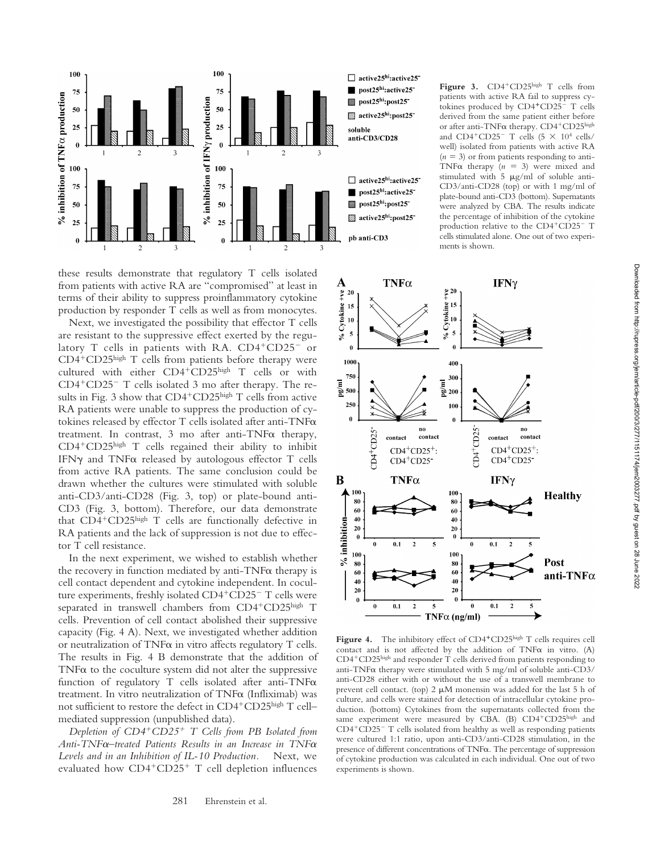

these results demonstrate that regulatory T cells isolated from patients with active RA are "compromised" at least in terms of their ability to suppress proinflammatory cytokine production by responder T cells as well as from monocytes.

Next, we investigated the possibility that effector T cells are resistant to the suppressive effect exerted by the regulatory T cells in patients with RA. CD4<sup>+</sup>CD25<sup>-</sup> or CD4-CD25high T cells from patients before therapy were cultured with either CD4-CD25high T cells or with CD4<sup>+</sup>CD25<sup>-</sup> T cells isolated 3 mo after therapy. The results in Fig. 3 show that CD4<sup>+</sup>CD25<sup>high</sup> T cells from active RA patients were unable to suppress the production of cytokines released by effector T cells isolated after anti-TNF treatment. In contrast, 3 mo after anti-TNF $\alpha$  therapy, CD4-CD25high T cells regained their ability to inhibit IFN $\gamma$  and TNF $\alpha$  released by autologous effector T cells from active RA patients. The same conclusion could be drawn whether the cultures were stimulated with soluble anti-CD3/anti-CD28 (Fig. 3, top) or plate-bound anti-CD3 (Fig. 3, bottom). Therefore, our data demonstrate that CD4<sup>+</sup>CD25high T cells are functionally defective in RA patients and the lack of suppression is not due to effector T cell resistance.

In the next experiment, we wished to establish whether the recovery in function mediated by anti-TNF $\alpha$  therapy is cell contact dependent and cytokine independent. In coculture experiments, freshly isolated CD4<sup>+</sup>CD25<sup>-</sup> T cells were separated in transwell chambers from CD4<sup>+</sup>CD25high T cells. Prevention of cell contact abolished their suppressive capacity (Fig. 4 A). Next, we investigated whether addition or neutralization of  $TNF\alpha$  in vitro affects regulatory  $T$  cells. The results in Fig. 4 B demonstrate that the addition of TNF $\alpha$  to the coculture system did not alter the suppressive function of regulatory T cells isolated after anti-TNF $\alpha$ treatment. In vitro neutralization of  $TNF\alpha$  (Infliximab) was not sufficient to restore the defect in CD4<sup>+</sup>CD25<sup>high</sup> T cell– mediated suppression (unpublished data).

*Depletion of CD4*-*CD25*- *T Cells from PB Isolated from Anti-TNF–treated Patients Results in an Increase in TNF Levels and in an Inhibition of IL-10 Production.* Next, we evaluated how CD4<sup>+</sup>CD25<sup>+</sup> T cell depletion influences

Figure 3. CD4<sup>+</sup>CD25high T cells from patients with active RA fail to suppress cytokines produced by CD4<sup>+</sup>CD25<sup>-</sup> T cells derived from the same patient either before or after anti-TNF $\alpha$  therapy. CD4+CD25high and  $CD4^+CD25^-$  T cells  $(5 \times 10^4 \text{ cells}/$ well) isolated from patients with active RA  $(n = 3)$  or from patients responding to anti-TNF $\alpha$  therapy ( $n = 3$ ) were mixed and stimulated with  $5 \mu g/ml$  of soluble anti-CD3/anti-CD28 (top) or with 1 mg/ml of plate-bound anti-CD3 (bottom). Supernatants were analyzed by CBA. The results indicate the percentage of inhibition of the cytokine production relative to the CD4+CD25- T cells stimulated alone. One out of two experiments is shown.



Figure 4. The inhibitory effect of CD4<sup>+</sup>CD25high T cells requires cell contact and is not affected by the addition of  $TNF\alpha$  in vitro. (A) CD4-CD25high and responder T cells derived from patients responding to anti-TNF $\alpha$  therapy were stimulated with 5 mg/ml of soluble anti-CD3/ anti-CD28 either with or without the use of a transwell membrane to prevent cell contact. (top)  $2 \mu M$  monensin was added for the last  $5$  h of culture, and cells were stained for detection of intracellular cytokine production. (bottom) Cytokines from the supernatants collected from the same experiment were measured by CBA. (B) CD4<sup>+</sup>CD25high and CD4+CD25- T cells isolated from healthy as well as responding patients were cultured 1:1 ratio, upon anti-CD3/anti-CD28 stimulation, in the presence of different concentrations of  $TNF\alpha$ . The percentage of suppression of cytokine production was calculated in each individual. One out of two experiments is shown.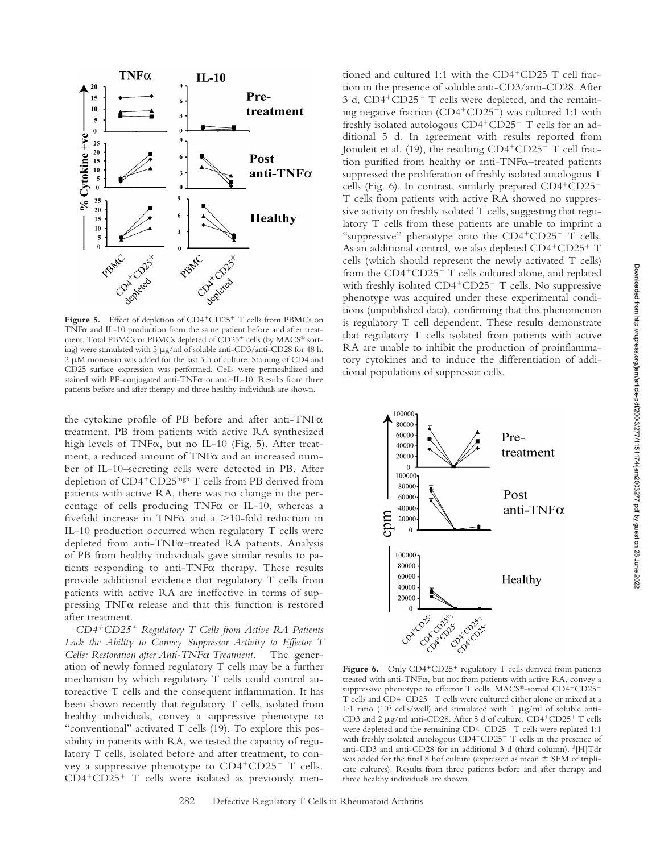

Figure 5. Effect of depletion of CD4<sup>+</sup>CD25<sup>+</sup> T cells from PBMCs on TNF $\alpha$  and IL-10 production from the same patient before and after treatment. Total PBMCs or PBMCs depleted of CD25<sup>+</sup> cells (by MACS® sorting) were stimulated with 5  $\mu$ g/ml of soluble anti-CD3/anti-CD28 for 48 h. 2  $\mu$ M monensin was added for the last 5 h of culture. Staining of CD4 and CD25 surface expression was performed. Cells were permeabilized and stained with PE-conjugated anti-TNF $\alpha$  or anti-IL-10. Results from three patients before and after therapy and three healthy individuals are shown.

the cytokine profile of PB before and after anti-TNF treatment. PB from patients with active RA synthesized high levels of TNF $\alpha$ , but no IL-10 (Fig. 5). After treatment, a reduced amount of  $TNF\alpha$  and an increased number of IL-10–secreting cells were detected in PB. After depletion of CD4<sup>+</sup>CD25high T cells from PB derived from patients with active RA, there was no change in the percentage of cells producing  $TNF\alpha$  or IL-10, whereas a fivefold increase in TNF $\alpha$  and a >10-fold reduction in IL-10 production occurred when regulatory T cells were depleted from anti-TNF $\alpha$ -treated RA patients. Analysis of PB from healthy individuals gave similar results to patients responding to anti-TNF $\alpha$  therapy. These results provide additional evidence that regulatory T cells from patients with active RA are ineffective in terms of suppressing  $TNF\alpha$  release and that this function is restored after treatment.

*CD4*-*CD25*- *Regulatory T Cells from Active RA Patients Lack the Ability to Convey Suppressor Activity to Effector T Cells: Restoration after Anti-TNF* $\alpha$  Treatment. The generation of newly formed regulatory T cells may be a further mechanism by which regulatory T cells could control autoreactive T cells and the consequent inflammation. It has been shown recently that regulatory T cells, isolated from healthy individuals, convey a suppressive phenotype to "conventional" activated T cells (19). To explore this possibility in patients with RA, we tested the capacity of regulatory T cells, isolated before and after treatment, to convey a suppressive phenotype to CD4+CD25- T cells. CD4+CD25+ T cells were isolated as previously men-

tioned and cultured 1:1 with the CD4<sup>+</sup>CD25 T cell fraction in the presence of soluble anti-CD3/anti-CD28. After 3 d, CD4<sup>+</sup>CD25<sup>+</sup> T cells were depleted, and the remaining negative fraction (CD4+CD25<sup>-</sup>) was cultured 1:1 with freshly isolated autologous CD4+CD25- T cells for an additional 5 d. In agreement with results reported from Jonuleit et al. (19), the resulting CD4<sup>+</sup>CD25<sup>-</sup> T cell fraction purified from healthy or anti-TNF $\alpha$ –treated patients suppressed the proliferation of freshly isolated autologous T cells (Fig. 6). In contrast, similarly prepared CD4+CD25-T cells from patients with active RA showed no suppressive activity on freshly isolated T cells, suggesting that regulatory T cells from these patients are unable to imprint a "suppressive" phenotype onto the CD4+CD25- T cells. As an additional control, we also depleted CD4+CD25+ T cells (which should represent the newly activated T cells) from the CD4<sup>+</sup>CD25<sup>-</sup> T cells cultured alone, and replated with freshly isolated CD4<sup>+</sup>CD25<sup>-</sup> T cells. No suppressive phenotype was acquired under these experimental conditions (unpublished data), confirming that this phenomenon is regulatory T cell dependent. These results demonstrate that regulatory T cells isolated from patients with active RA are unable to inhibit the production of proinflammatory cytokines and to induce the differentiation of additional populations of suppressor cells.



Figure 6. Only CD4<sup>+</sup>CD25<sup>+</sup> regulatory T cells derived from patients treated with anti-TNF $\alpha$ , but not from patients with active RA, convey a suppressive phenotype to effector T cells. MACS®-sorted CD4+CD25+ T cells and CD4<sup>+</sup>CD25<sup>-</sup> T cells were cultured either alone or mixed at a 1:1 ratio ( $10^5$  cells/well) and stimulated with 1  $\mu$ g/ml of soluble anti-CD3 and 2 µg/ml anti-CD28. After 5 d of culture, CD4+CD25+ T cells were depleted and the remaining CD4+CD25<sup>-</sup> T cells were replated 1:1 with freshly isolated autologous CD4+CD25<sup>-</sup> T cells in the presence of anti-CD3 and anti-CD28 for an additional 3 d (third column). 3[H]Tdr was added for the final 8 hof culture (expressed as mean  $\pm$  SEM of triplicate cultures). Results from three patients before and after therapy and three healthy individuals are shown.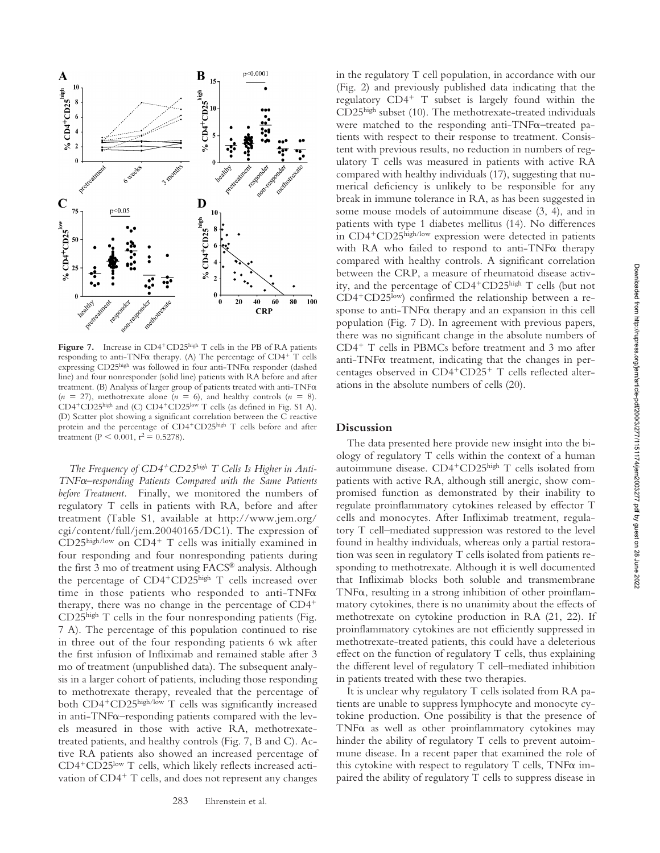

Figure 7. Increase in CD4<sup>+</sup>CD25high T cells in the PB of RA patients responding to anti-TNF $\alpha$  therapy. (A) The percentage of CD4<sup>+</sup> T cells expressing  $CD25<sup>high</sup>$  was followed in four anti-TNF $\alpha$  responder (dashed line) and four nonresponder (solid line) patients with RA before and after treatment. (B) Analysis of larger group of patients treated with anti-TNF $\alpha$  $(n = 27)$ , methotrexate alone  $(n = 6)$ , and healthy controls  $(n = 8)$ . CD4<sup>+</sup>CD25high and (C) CD4<sup>+</sup>CD25low T cells (as defined in Fig. S1 A). (D) Scatter plot showing a significant correlation between the C reactive protein and the percentage of CD4<sup>+</sup>CD25high T cells before and after treatment (P < 0.001,  $r^2 = 0.5278$ ).

The Frequency of CD4<sup>+</sup>CD25<sup>high</sup> T Cells Is Higher in Anti-*TNF–responding Patients Compared with the Same Patients before Treatment.* Finally, we monitored the numbers of regulatory T cells in patients with RA, before and after treatment (Table S1, available at http://www.jem.org/ cgi/content/full/jem.20040165/DC1). The expression of CD25high/low on CD4<sup>+</sup> T cells was initially examined in four responding and four nonresponding patients during the first 3 mo of treatment using FACS® analysis. Although the percentage of CD4<sup>+</sup>CD25high T cells increased over time in those patients who responded to anti-TNF $\alpha$ therapy, there was no change in the percentage of CD4- CD25high T cells in the four nonresponding patients (Fig. 7 A). The percentage of this population continued to rise in three out of the four responding patients 6 wk after the first infusion of Infliximab and remained stable after 3 mo of treatment (unpublished data). The subsequent analysis in a larger cohort of patients, including those responding to methotrexate therapy, revealed that the percentage of both CD4<sup>+</sup>CD25<sup>high/low</sup> T cells was significantly increased in anti-TNF $\alpha$ –responding patients compared with the levels measured in those with active RA, methotrexatetreated patients, and healthy controls (Fig. 7, B and C). Active RA patients also showed an increased percentage of CD4<sup>+</sup>CD25<sup>low</sup> T cells, which likely reflects increased activation of CD4<sup>+</sup> T cells, and does not represent any changes

in the regulatory T cell population, in accordance with our (Fig. 2) and previously published data indicating that the regulatory CD4- T subset is largely found within the CD25high subset (10). The methotrexate-treated individuals were matched to the responding anti-TNF $\alpha$ –treated patients with respect to their response to treatment. Consistent with previous results, no reduction in numbers of regulatory T cells was measured in patients with active RA compared with healthy individuals (17), suggesting that numerical deficiency is unlikely to be responsible for any break in immune tolerance in RA, as has been suggested in some mouse models of autoimmune disease (3, 4), and in patients with type 1 diabetes mellitus (14). No differences in CD4<sup>+</sup>CD25high/low expression were detected in patients with RA who failed to respond to anti-TNFa therapy compared with healthy controls. A significant correlation between the CRP, a measure of rheumatoid disease activity, and the percentage of CD4-CD25high T cells (but not CD4<sup>+</sup>CD25<sup>low</sup>) confirmed the relationship between a response to anti-TNF $\alpha$  therapy and an expansion in this cell population (Fig. 7 D). In agreement with previous papers, there was no significant change in the absolute numbers of CD4- T cells in PBMCs before treatment and 3 mo after anti-TNF $\alpha$  treatment, indicating that the changes in percentages observed in CD4+CD25+ T cells reflected alterations in the absolute numbers of cells (20).

## **Discussion**

The data presented here provide new insight into the biology of regulatory T cells within the context of a human autoimmune disease. CD4<sup>+</sup>CD25<sup>high</sup> T cells isolated from patients with active RA, although still anergic, show compromised function as demonstrated by their inability to regulate proinflammatory cytokines released by effector T cells and monocytes. After Infliximab treatment, regulatory T cell–mediated suppression was restored to the level found in healthy individuals, whereas only a partial restoration was seen in regulatory T cells isolated from patients responding to methotrexate. Although it is well documented that Infliximab blocks both soluble and transmembrane TNF $\alpha$ , resulting in a strong inhibition of other proinflammatory cytokines, there is no unanimity about the effects of methotrexate on cytokine production in RA (21, 22). If proinflammatory cytokines are not efficiently suppressed in methotrexate-treated patients, this could have a deleterious effect on the function of regulatory T cells, thus explaining the different level of regulatory T cell–mediated inhibition in patients treated with these two therapies.

It is unclear why regulatory T cells isolated from RA patients are unable to suppress lymphocyte and monocyte cytokine production. One possibility is that the presence of TNF $\alpha$  as well as other proinflammatory cytokines may hinder the ability of regulatory T cells to prevent autoimmune disease. In a recent paper that examined the role of this cytokine with respect to regulatory  $T$  cells,  $TNF\alpha$  impaired the ability of regulatory T cells to suppress disease in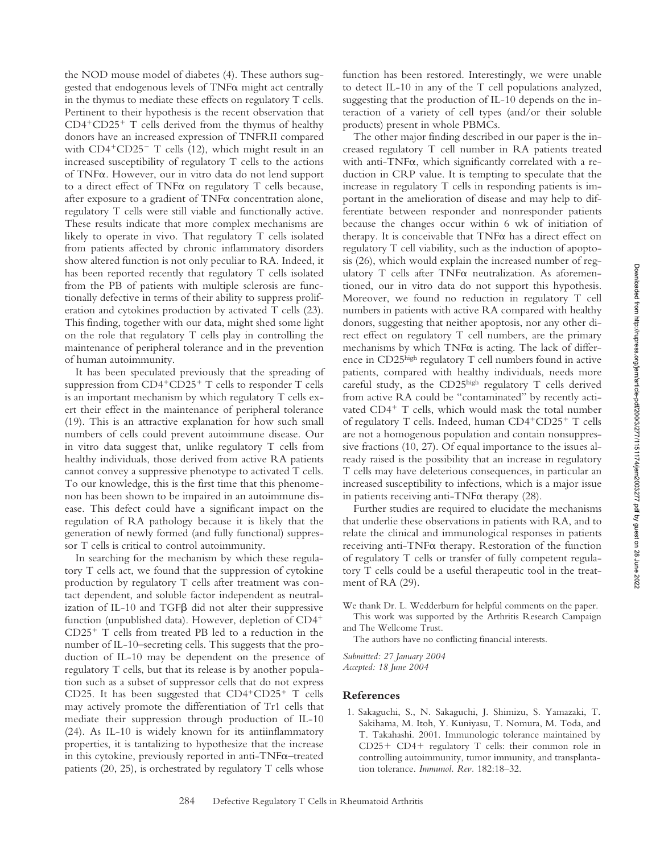the NOD mouse model of diabetes (4). These authors suggested that endogenous levels of  $TNF\alpha$  might act centrally in the thymus to mediate these effects on regulatory T cells. Pertinent to their hypothesis is the recent observation that CD4-CD25- T cells derived from the thymus of healthy donors have an increased expression of TNFRII compared with CD4<sup>+</sup>CD25<sup>-</sup> T cells (12), which might result in an increased susceptibility of regulatory T cells to the actions of TNF $\alpha$ . However, our in vitro data do not lend support to a direct effect of  $TNF\alpha$  on regulatory  $T$  cells because, after exposure to a gradient of  $TNF\alpha$  concentration alone, regulatory T cells were still viable and functionally active. These results indicate that more complex mechanisms are likely to operate in vivo. That regulatory T cells isolated from patients affected by chronic inflammatory disorders show altered function is not only peculiar to RA. Indeed, it has been reported recently that regulatory T cells isolated from the PB of patients with multiple sclerosis are functionally defective in terms of their ability to suppress proliferation and cytokines production by activated T cells (23). This finding, together with our data, might shed some light on the role that regulatory T cells play in controlling the maintenance of peripheral tolerance and in the prevention of human autoimmunity.

It has been speculated previously that the spreading of suppression from CD4<sup>+</sup>CD25<sup>+</sup> T cells to responder T cells is an important mechanism by which regulatory T cells exert their effect in the maintenance of peripheral tolerance (19). This is an attractive explanation for how such small numbers of cells could prevent autoimmune disease. Our in vitro data suggest that, unlike regulatory T cells from healthy individuals, those derived from active RA patients cannot convey a suppressive phenotype to activated T cells. To our knowledge, this is the first time that this phenomenon has been shown to be impaired in an autoimmune disease. This defect could have a significant impact on the regulation of RA pathology because it is likely that the generation of newly formed (and fully functional) suppressor T cells is critical to control autoimmunity.

In searching for the mechanism by which these regulatory T cells act, we found that the suppression of cytokine production by regulatory T cells after treatment was contact dependent, and soluble factor independent as neutralization of IL-10 and  $TGF\beta$  did not alter their suppressive function (unpublished data). However, depletion of CD4<sup>+</sup> CD25- T cells from treated PB led to a reduction in the number of IL-10–secreting cells. This suggests that the production of IL-10 may be dependent on the presence of regulatory T cells, but that its release is by another population such as a subset of suppressor cells that do not express CD25. It has been suggested that  $CD4+CD25+$  T cells may actively promote the differentiation of Tr1 cells that mediate their suppression through production of IL-10 (24). As IL-10 is widely known for its antiinflammatory properties, it is tantalizing to hypothesize that the increase in this cytokine, previously reported in anti- $TNF\alpha$ –treated patients (20, 25), is orchestrated by regulatory T cells whose

function has been restored. Interestingly, we were unable to detect IL-10 in any of the T cell populations analyzed, suggesting that the production of IL-10 depends on the interaction of a variety of cell types (and/or their soluble products) present in whole PBMCs.

The other major finding described in our paper is the increased regulatory T cell number in RA patients treated with anti-TNF $\alpha$ , which significantly correlated with a reduction in CRP value. It is tempting to speculate that the increase in regulatory T cells in responding patients is important in the amelioration of disease and may help to differentiate between responder and nonresponder patients because the changes occur within 6 wk of initiation of therapy. It is conceivable that  $TNF\alpha$  has a direct effect on regulatory T cell viability, such as the induction of apoptosis (26), which would explain the increased number of regulatory  $T$  cells after  $TNF\alpha$  neutralization. As aforementioned, our in vitro data do not support this hypothesis. Moreover, we found no reduction in regulatory T cell numbers in patients with active RA compared with healthy donors, suggesting that neither apoptosis, nor any other direct effect on regulatory T cell numbers, are the primary mechanisms by which  $TNF\alpha$  is acting. The lack of difference in  $CD25<sup>high</sup>$  regulatory T cell numbers found in active patients, compared with healthy individuals, needs more careful study, as the CD25high regulatory T cells derived from active RA could be "contaminated" by recently activated CD4<sup>+</sup> T cells, which would mask the total number of regulatory T cells. Indeed, human CD4+CD25+ T cells are not a homogenous population and contain nonsuppressive fractions (10, 27). Of equal importance to the issues already raised is the possibility that an increase in regulatory T cells may have deleterious consequences, in particular an increased susceptibility to infections, which is a major issue in patients receiving anti-TNF $\alpha$  therapy (28).

Further studies are required to elucidate the mechanisms that underlie these observations in patients with RA, and to relate the clinical and immunological responses in patients receiving anti-TNF $\alpha$  therapy. Restoration of the function of regulatory T cells or transfer of fully competent regulatory T cells could be a useful therapeutic tool in the treatment of RA (29).

We thank Dr. L. Wedderburn for helpful comments on the paper. This work was supported by the Arthritis Research Campaign

and The Wellcome Trust. The authors have no conflicting financial interests.

*Submitted: 27 January 2004 Accepted: 18 June 2004*

#### **References**

1. Sakaguchi, S., N. Sakaguchi, J. Shimizu, S. Yamazaki, T. Sakihama, M. Itoh, Y. Kuniyasu, T. Nomura, M. Toda, and T. Takahashi. 2001. Immunologic tolerance maintained by CD25+ CD4+ regulatory T cells: their common role in controlling autoimmunity, tumor immunity, and transplantation tolerance. *Immunol. Rev.* 182:18–32.